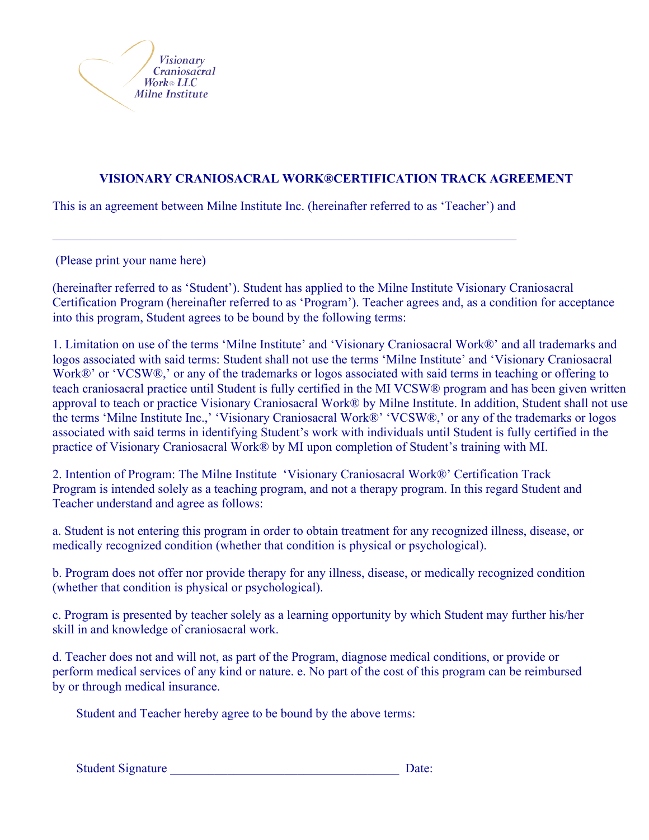

## **VISIONARY CRANIOSACRAL WORK®CERTIFICATION TRACK AGREEMENT**

This is an agreement between Milne Institute Inc. (hereinafter referred to as 'Teacher') and

 $\mathcal{L}_\mathcal{L} = \mathcal{L}_\mathcal{L} = \mathcal{L}_\mathcal{L} = \mathcal{L}_\mathcal{L} = \mathcal{L}_\mathcal{L} = \mathcal{L}_\mathcal{L} = \mathcal{L}_\mathcal{L} = \mathcal{L}_\mathcal{L} = \mathcal{L}_\mathcal{L} = \mathcal{L}_\mathcal{L} = \mathcal{L}_\mathcal{L} = \mathcal{L}_\mathcal{L} = \mathcal{L}_\mathcal{L} = \mathcal{L}_\mathcal{L} = \mathcal{L}_\mathcal{L} = \mathcal{L}_\mathcal{L} = \mathcal{L}_\mathcal{L}$ 

(Please print your name here)

(hereinafter referred to as 'Student'). Student has applied to the Milne Institute Visionary Craniosacral Certification Program (hereinafter referred to as 'Program'). Teacher agrees and, as a condition for acceptance into this program, Student agrees to be bound by the following terms:

1. Limitation on use of the terms 'Milne Institute' and 'Visionary Craniosacral Work®' and all trademarks and logos associated with said terms: Student shall not use the terms 'Milne Institute' and 'Visionary Craniosacral Work®' or 'VCSW®,' or any of the trademarks or logos associated with said terms in teaching or offering to teach craniosacral practice until Student is fully certified in the MI VCSW® program and has been given written approval to teach or practice Visionary Craniosacral Work® by Milne Institute. In addition, Student shall not use the terms 'Milne Institute Inc.,' 'Visionary Craniosacral Work®' 'VCSW®,' or any of the trademarks or logos associated with said terms in identifying Student's work with individuals until Student is fully certified in the practice of Visionary Craniosacral Work® by MI upon completion of Student's training with MI.

2. Intention of Program: The Milne Institute 'Visionary Craniosacral Work®' Certification Track Program is intended solely as a teaching program, and not a therapy program. In this regard Student and Teacher understand and agree as follows:

a. Student is not entering this program in order to obtain treatment for any recognized illness, disease, or medically recognized condition (whether that condition is physical or psychological).

b. Program does not offer nor provide therapy for any illness, disease, or medically recognized condition (whether that condition is physical or psychological).

c. Program is presented by teacher solely as a learning opportunity by which Student may further his/her skill in and knowledge of craniosacral work.

d. Teacher does not and will not, as part of the Program, diagnose medical conditions, or provide or perform medical services of any kind or nature. e. No part of the cost of this program can be reimbursed by or through medical insurance.

Student and Teacher hereby agree to be bound by the above terms:

| <b>Student Signature</b> | Date: |
|--------------------------|-------|
|                          |       |